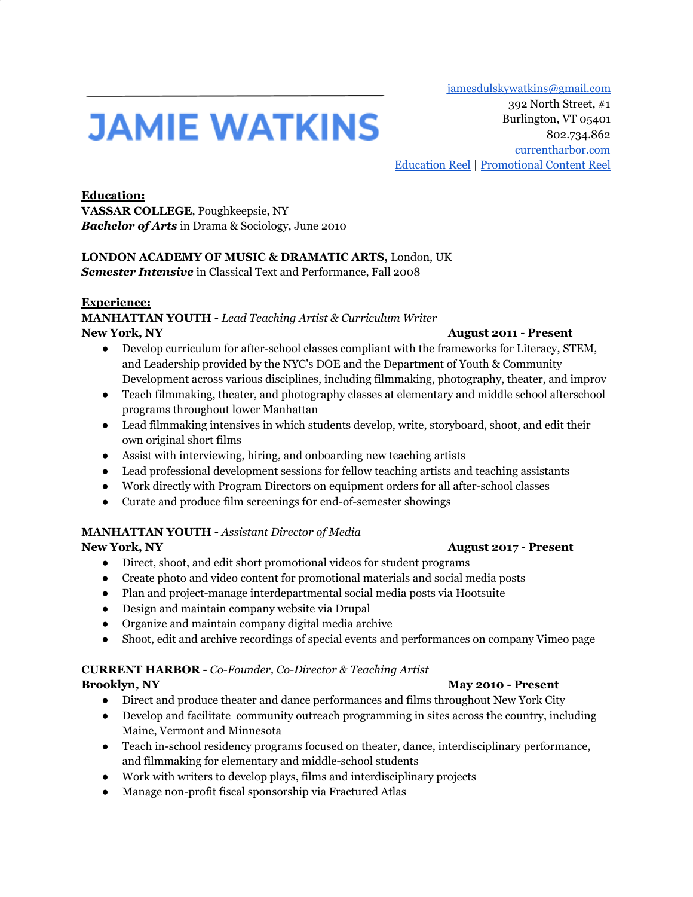[jamesdulskywatkins@gmail.com](mailto:jamesdulskywatkins@gmail.com)

# **JAMIE WATKINS**

392 North Street, #1 Burlington, VT 05401 802.734.862 [currentharbor.com](https://www.currentharbor.com/) [Education](https://vimeo.com/showcase/5918407/video/283461133) Reel | [Promotional](https://www.youtube.com/playlist?list=PLL58yhuvGtgtdVvurZKIb0Hl8OSBOiFSj) Content Reel

**Education: VASSAR COLLEGE**, Poughkeepsie, NY *Bachelor of Arts* in Drama & Sociology, June 2010

## **LONDON ACADEMY OF MUSIC & DRAMATIC ARTS,** London, UK

*Semester Intensive* in Classical Text and Performance, Fall 2008

#### **Experience:**

**MANHATTAN YOUTH -** *Lead Teaching Artist & Curriculum Writer* **New York, NY August 2011 - Present**

- Develop curriculum for after-school classes compliant with the frameworks for Literacy, STEM, and Leadership provided by the NYC's DOE and the Department of Youth & Community Development across various disciplines, including filmmaking, photography, theater, and improv
- Teach filmmaking, theater, and photography classes at elementary and middle school afterschool programs throughout lower Manhattan
- Lead filmmaking intensives in which students develop, write, storyboard, shoot, and edit their own original short films
- Assist with interviewing, hiring, and onboarding new teaching artists
- Lead professional development sessions for fellow teaching artists and teaching assistants
- Work directly with Program Directors on equipment orders for all after-school classes
- Curate and produce film screenings f0r end-of-semester showings

### **MANHATTAN YOUTH -** *Assistant Director of Media*

#### **New York, NY August 2017 - Present**

- Direct, shoot, and edit short promotional videos for student programs
- Create photo and video content for promotional materials and social media posts
- Plan and project-manage interdepartmental social media posts via Hootsuite
- Design and maintain company website via Drupal
- Organize and maintain company digital media archive
- Shoot, edit and archive recordings of special events and performances on company Vimeo page

### **CURRENT HARBOR -** *Co-Founder, Co-Director & Teaching Artist*

#### **Brooklyn, NY May 2010 - Present**

- Direct and produce theater and dance performances and films throughout New York City
- Develop and facilitate community outreach programming in sites across the country, including Maine, Vermont and Minnesota
- Teach in-school residency programs focused on theater, dance, interdisciplinary performance, and filmmaking for elementary and middle-school students
- Work with writers to develop plays, films and interdisciplinary projects
- Manage non-profit fiscal sponsorship via Fractured Atlas